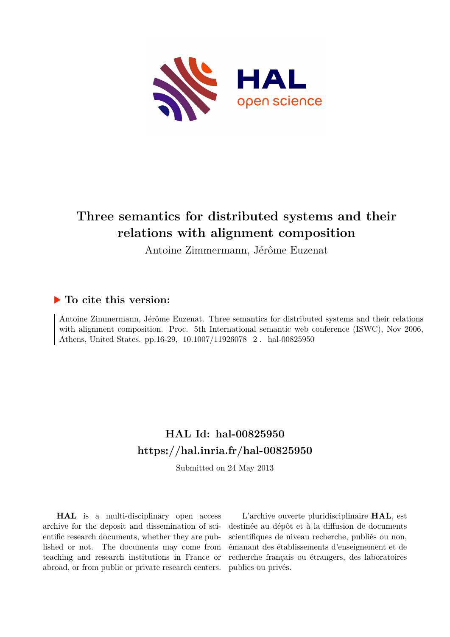

# **Three semantics for distributed systems and their relations with alignment composition**

Antoine Zimmermann, Jérôme Euzenat

# **To cite this version:**

Antoine Zimmermann, Jérôme Euzenat. Three semantics for distributed systems and their relations with alignment composition. Proc. 5th International semantic web conference (ISWC), Nov 2006, Athens, United States. pp.16-29, 10.1007/11926078\_2. hal-00825950

# **HAL Id: hal-00825950 <https://hal.inria.fr/hal-00825950>**

Submitted on 24 May 2013

**HAL** is a multi-disciplinary open access archive for the deposit and dissemination of scientific research documents, whether they are published or not. The documents may come from teaching and research institutions in France or abroad, or from public or private research centers.

L'archive ouverte pluridisciplinaire **HAL**, est destinée au dépôt et à la diffusion de documents scientifiques de niveau recherche, publiés ou non, émanant des établissements d'enseignement et de recherche français ou étrangers, des laboratoires publics ou privés.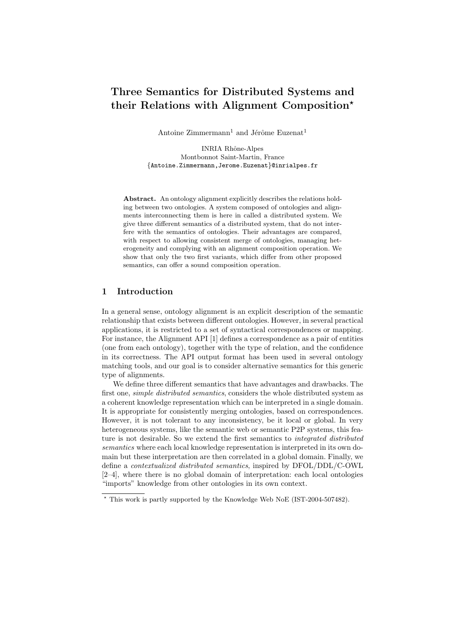# Three Semantics for Distributed Systems and their Relations with Alignment Composition?

Antoine  $Z\text{immermann}^1$  and Jérôme Euzenat<sup>1</sup>

INRIA Rhône-Alpes Montbonnot Saint-Martin, France {Antoine.Zimmermann,Jerome.Euzenat}@inrialpes.fr

Abstract. An ontology alignment explicitly describes the relations holding between two ontologies. A system composed of ontologies and alignments interconnecting them is here in called a distributed system. We give three different semantics of a distributed system, that do not interfere with the semantics of ontologies. Their advantages are compared, with respect to allowing consistent merge of ontologies, managing heterogeneity and complying with an alignment composition operation. We show that only the two first variants, which differ from other proposed semantics, can offer a sound composition operation.

# 1 Introduction

In a general sense, ontology alignment is an explicit description of the semantic relationship that exists between different ontologies. However, in several practical applications, it is restricted to a set of syntactical correspondences or mapping. For instance, the Alignment API [1] defines a correspondence as a pair of entities (one from each ontology), together with the type of relation, and the confidence in its correctness. The API output format has been used in several ontology matching tools, and our goal is to consider alternative semantics for this generic type of alignments.

We define three different semantics that have advantages and drawbacks. The first one, simple distributed semantics, considers the whole distributed system as a coherent knowledge representation which can be interpreted in a single domain. It is appropriate for consistently merging ontologies, based on correspondences. However, it is not tolerant to any inconsistency, be it local or global. In very heterogeneous systems, like the semantic web or semantic P2P systems, this feature is not desirable. So we extend the first semantics to integrated distributed semantics where each local knowledge representation is interpreted in its own domain but these interpretation are then correlated in a global domain. Finally, we define a contextualized distributed semantics, inspired by DFOL/DDL/C-OWL [2–4], where there is no global domain of interpretation: each local ontologies "imports" knowledge from other ontologies in its own context.

<sup>?</sup> This work is partly supported by the Knowledge Web NoE (IST-2004-507482).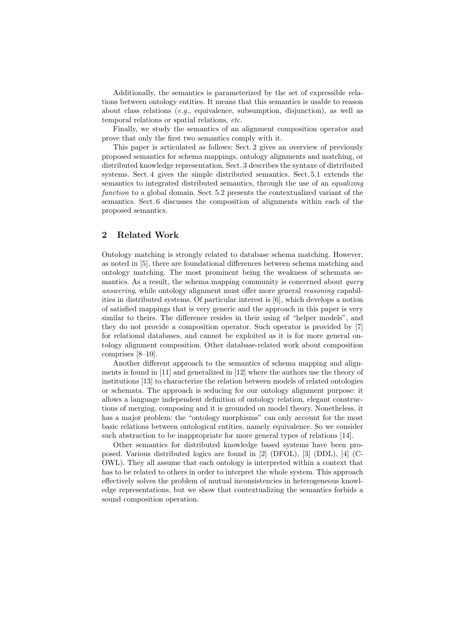Additionally, the semantics is parameterized by the set of expressible relations between ontology entities. It means that this semantics is usable to reason about class relations (e.g., equivalence, subsumption, disjunction), as well as temporal relations or spatial relations, etc.

Finally, we study the semantics of an alignment composition operator and prove that only the first two semantics comply with it.

This paper is articulated as follows: Sect. 2 gives an overview of previously proposed semantics for schema mappings, ontology alignments and matching, or distributed knowledge representation. Sect. 3 describes the syntaxe of distributed systems. Sect. 4 gives the simple distributed semantics. Sect. 5.1 extends the semantics to integrated distributed semantics, through the use of an *equalizing* function to a global domain. Sect. 5.2 presents the contextualized variant of the semantics. Sect. 6 discusses the composition of alignments within each of the proposed semantics.

#### 2 Related Work

Ontology matching is strongly related to database schema matching. However, as noted in [5], there are foundational differences between schema matching and ontology matching. The most prominent being the weakness of schemata semantics. As a result, the schema mapping community is concerned about  $query$ answering, while ontology alignment must offer more general reasoning capabilities in distributed systems. Of particular interest is [6], which develops a notion of satisfied mappings that is very generic and the approach in this paper is very similar to theirs. The difference resides in their using of "helper models", and they do not provide a composition operator. Such operator is provided by [7] for relational databases, and cannot be exploited as it is for more general ontology alignment composition. Other database-related work about composition comprises [8–10].

Another different approach to the semantics of schema mapping and alignments is found in [11] and generalized in [12] where the authors use the theory of institutions [13] to characterize the relation between models of related ontologies or schemata. The approach is seducing for our ontology alignment purpose: it allows a language independent definition of ontology relation, elegant constructions of merging, composing and it is grounded on model theory. Nonetheless, it has a major problem: the "ontology morphisms" can only account for the most basic relations between ontological entities, namely equivalence. So we consider such abstraction to be inappropriate for more general types of relations [14].

Other semantics for distributed knowledge based systems have been proposed. Various distributed logics are found in [2] (DFOL), [3] (DDL), [4] (C-OWL). They all assume that each ontology is interpreted within a context that has to be related to others in order to interpret the whole system. This approach effectively solves the problem of mutual inconsistencies in heterogeneous knowledge representations, but we show that contextualizing the semantics forbids a sound composition operation.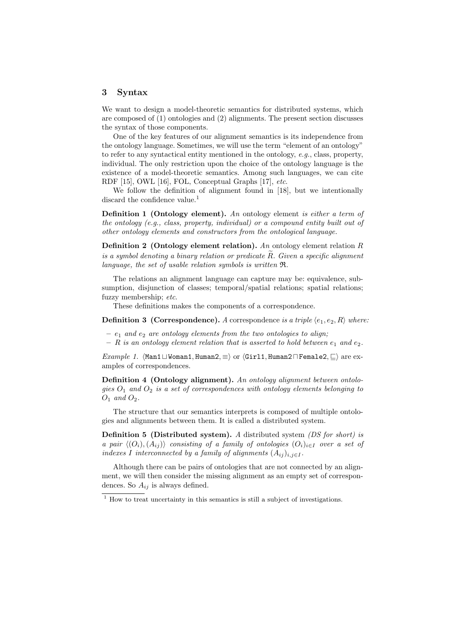#### 3 Syntax

We want to design a model-theoretic semantics for distributed systems, which are composed of (1) ontologies and (2) alignments. The present section discusses the syntax of those components.

One of the key features of our alignment semantics is its independence from the ontology language. Sometimes, we will use the term "element of an ontology" to refer to any syntactical entity mentioned in the ontology, e.g., class, property, individual. The only restriction upon the choice of the ontology language is the existence of a model-theoretic semantics. Among such languages, we can cite RDF [15], OWL [16], FOL, Conceptual Graphs [17], etc.

We follow the definition of alignment found in [18], but we intentionally discard the confidence value.<sup>1</sup>

Definition 1 (Ontology element). An ontology element is either a term of the ontology (e.g., class, property, individual) or a compound entity built out of other ontology elements and constructors from the ontological language.

**Definition 2** (Ontology element relation). An ontology element relation R is a symbol denoting a binary relation or predicate  $\overline{R}$ . Given a specific alignment language, the set of usable relation symbols is written R.

The relations an alignment language can capture may be: equivalence, subsumption, disjunction of classes; temporal/spatial relations; spatial relations; fuzzy membership; etc.

These definitions makes the components of a correspondence.

**Definition 3 (Correspondence).** A correspondence is a triple  $\langle e_1, e_2, R \rangle$  where:

- $e_1$  and  $e_2$  are ontology elements from the two ontologies to align;
- R is an ontology element relation that is asserted to hold between  $e_1$  and  $e_2$ .

Example 1.  $\forall$ Man1 $\sqcup$ Woman1, Human2,  $\equiv$  or  $\forall$ Girl1, Human2 $\sqcap$ Female2,  $\sqsubset$  are examples of correspondences.

Definition 4 (Ontology alignment). An ontology alignment between ontologies  $O_1$  and  $O_2$  is a set of correspondences with ontology elements belonging to  $O_1$  and  $O_2$ .

The structure that our semantics interprets is composed of multiple ontologies and alignments between them. It is called a distributed system.

Definition 5 (Distributed system). A distributed system (DS for short) is a pair  $\langle (O_i), (A_{ii}) \rangle$  consisting of a family of ontologies  $(O_i)_{i\in I}$  over a set of indexes I interconnected by a family of alignments  $(A_{ij})_{i,j\in I}$ .

Although there can be pairs of ontologies that are not connected by an alignment, we will then consider the missing alignment as an empty set of correspondences. So  $A_{ij}$  is always defined.

 $1$  How to treat uncertainty in this semantics is still a subject of investigations.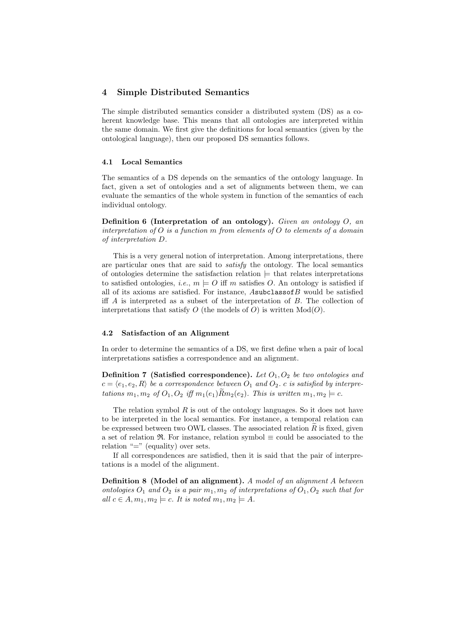# 4 Simple Distributed Semantics

The simple distributed semantics consider a distributed system (DS) as a coherent knowledge base. This means that all ontologies are interpreted within the same domain. We first give the definitions for local semantics (given by the ontological language), then our proposed DS semantics follows.

#### 4.1 Local Semantics

The semantics of a DS depends on the semantics of the ontology language. In fact, given a set of ontologies and a set of alignments between them, we can evaluate the semantics of the whole system in function of the semantics of each individual ontology.

Definition 6 (Interpretation of an ontology). Given an ontology  $O$ , an interpretation of  $O$  is a function m from elements of  $O$  to elements of a domain of interpretation D.

This is a very general notion of interpretation. Among interpretations, there are particular ones that are said to satisfy the ontology. The local semantics of ontologies determine the satisfaction relation  $\models$  that relates interpretations to satisfied ontologies, *i.e.*,  $m \models O$  iff m satisfies O. An ontology is satisfied if all of its axioms are satisfied. For instance,  $A$ subclassof $B$  would be satisfied iff  $A$  is interpreted as a subset of the interpretation of  $B$ . The collection of interpretations that satisfy  $O$  (the models of  $O$ ) is written  $Mod(O)$ .

#### 4.2 Satisfaction of an Alignment

In order to determine the semantics of a DS, we first define when a pair of local interpretations satisfies a correspondence and an alignment.

**Definition 7 (Satisfied correspondence).** Let  $O_1$ ,  $O_2$  be two ontologies and  $c = \langle e_1, e_2, R \rangle$  be a correspondence between  $O_1$  and  $O_2$ . c is satisfied by interpretations  $m_1, m_2$  of  $O_1, O_2$  iff  $m_1(e_1)Rm_2(e_2)$ . This is written  $m_1, m_2 \models c$ .

The relation symbol  $R$  is out of the ontology languages. So it does not have to be interpreted in the local semantics. For instance, a temporal relation can be expressed between two OWL classes. The associated relation  $\tilde{R}$  is fixed, given a set of relation R. For instance, relation symbol  $\equiv$  could be associated to the relation " $\equiv$ " (equality) over sets.

If all correspondences are satisfied, then it is said that the pair of interpretations is a model of the alignment.

Definition 8 (Model of an alignment). A model of an alignment A between ontologies  $O_1$  and  $O_2$  is a pair  $m_1, m_2$  of interpretations of  $O_1, O_2$  such that for all  $c \in A$ ,  $m_1, m_2 \models c$ . It is noted  $m_1, m_2 \models A$ .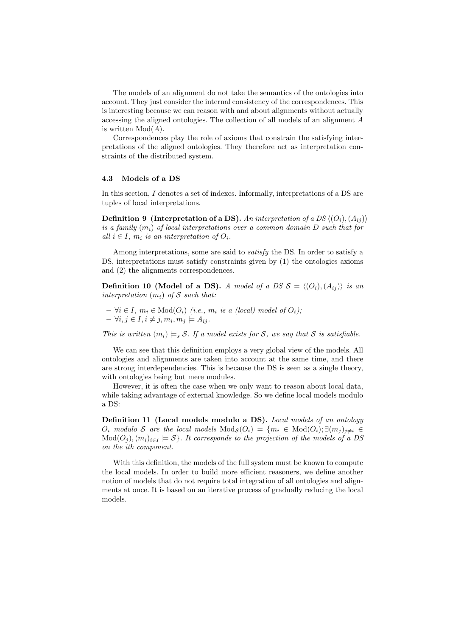The models of an alignment do not take the semantics of the ontologies into account. They just consider the internal consistency of the correspondences. This is interesting because we can reason with and about alignments without actually accessing the aligned ontologies. The collection of all models of an alignment A is written  $Mod(A)$ .

Correspondences play the role of axioms that constrain the satisfying interpretations of the aligned ontologies. They therefore act as interpretation constraints of the distributed system.

# 4.3 Models of a DS

In this section, I denotes a set of indexes. Informally, interpretations of a DS are tuples of local interpretations.

**Definition 9** (Interpretation of a DS). An interpretation of a DS  $\langle (O_i), (A_{ii}) \rangle$ is a family  $(m_i)$  of local interpretations over a common domain D such that for all  $i \in I$ ,  $m_i$  is an interpretation of  $O_i$ .

Among interpretations, some are said to satisfy the DS. In order to satisfy a DS, interpretations must satisfy constraints given by (1) the ontologies axioms and (2) the alignments correspondences.

**Definition 10 (Model of a DS).** A model of a DS  $S = \langle (O_i), (A_{ij}) \rangle$  is an interpretation  $(m_i)$  of S such that:

 $- \forall i \in I, m_i \in Mod(O_i)$  (i.e.,  $m_i$  is a (local) model of  $O_i$ );  $- \forall i, j \in I, i \neq j, m_i, m_j \models A_{ij}.$ 

This is written  $(m_i) \models_s \mathcal{S}$ . If a model exists for  $\mathcal{S}$ , we say that  $\mathcal{S}$  is satisfiable.

We can see that this definition employs a very global view of the models. All ontologies and alignments are taken into account at the same time, and there are strong interdependencies. This is because the DS is seen as a single theory, with ontologies being but mere modules.

However, it is often the case when we only want to reason about local data, while taking advantage of external knowledge. So we define local models modulo a DS:

Definition 11 (Local models modulo a DS). Local models of an ontology  $O_i$  modulo S are the local models  $Mod_S(O_i) = \{m_i \in Mod(O_i); \exists (m_i)_{i \neq i} \in$  $Mod(O_i), (m_i)_{i \in I} \models \mathcal{S}$ . It corresponds to the projection of the models of a DS on the ith component.

With this definition, the models of the full system must be known to compute the local models. In order to build more efficient reasoners, we define another notion of models that do not require total integration of all ontologies and alignments at once. It is based on an iterative process of gradually reducing the local models.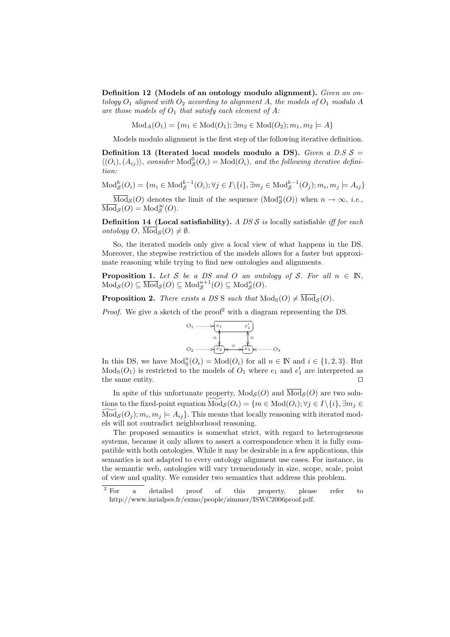Definition 12 (Models of an ontology modulo alignment). Given an ontology  $O_1$  aligned with  $O_2$  according to alignment A, the models of  $O_1$  modulo A are those models of  $O_1$  that satisfy each element of A:

 $Mod_A(O_1) = \{m_1 \in Mod(O_1); \exists m_2 \in Mod(O_2); m_1, m_2 \models A\}$ 

Models modulo alignment is the first step of the following iterative definition.

Definition 13 (Iterated local models modulo a DS). Given a D.S  $S =$  $\langle (O_i), (A_{ij}) \rangle$ , consider  $\text{Mod}_{\mathcal{S}}^0(O_i) = \text{Mod}(O_i)$ , and the following iterative definition:

$$
\text{Mod}_{\mathcal{S}}^k(O_i) = \{ m_i \in \text{Mod}_{\mathcal{S}}^{k-1}(O_i); \forall j \in I \setminus \{i\}, \exists m_j \in \text{Mod}_{\mathcal{S}}^{k-1}(O_j); m_i, m_j \models A_{ij} \}
$$

 $\overline{\text{Mod}}_{\mathcal{S}}(O)$  denotes the limit of the sequence  $(\text{Mod}_{\mathcal{S}}^n(O))$  when  $n \to \infty$ , *i.e.*,  $\overline{\text{Mod}}_{\mathcal{S}}(O) = \text{Mod}_{\mathcal{S}}^{\infty}(O).$ 

**Definition 14 (Local satisfiability).** A DS  $\mathcal{S}$  is locally satisfiable iff for each ontology O,  $\text{Mod}_{\mathcal{S}}(O) \neq \emptyset$ .

So, the iterated models only give a local view of what happens in the DS. Moreover, the stepwise restriction of the models allows for a faster but approximate reasoning while trying to find new ontologies and alignments.

**Proposition 1.** Let S be a DS and O an ontology of S. For all  $n \in \mathbb{N}$ ,  $\text{Mod}_{\mathcal{S}}(O) \subseteq \overline{\text{Mod}}_{\mathcal{S}}(O) \subseteq \text{Mod}_{\mathcal{S}}^{n+1}(O) \subseteq \text{Mod}_{\mathcal{S}}^{n}(O).$ 

**Proposition 2.** There exists a DS S such that  $\text{Mod}_{S}(O) \neq \overline{\text{Mod}}_{S}(O)$ .

*Proof.* We give a sketch of the proof<sup>2</sup> with a diagram representing the DS.



In this DS, we have  $Mod_S^n(O_i) = Mod(O_i)$  for all  $n \in \mathbb{N}$  and  $i \in \{1, 2, 3\}$ . But  $Mod<sub>S</sub>(O<sub>1</sub>)$  is restricted to the models of  $O<sub>1</sub>$  where  $e<sub>1</sub>$  and  $e'<sub>1</sub>$  are interpreted as the same entity.  $\square$ 

In spite of this unfortunate property,  $Mod_{\mathcal{S}}(O)$  and  $\overline{Mod}_{\mathcal{S}}(O)$  are two solutions to the fixed-point equation  $\text{Mod}_{\mathcal{S}}(O_i) = \{m \in \text{Mod}(O_i); \forall j \in I \setminus \{i\}, \exists m_j \in$  $\widetilde{\text{Mod}}_{\mathcal{S}}(O_j); m_i, m_j \models A_{ij}$ . This means that locally reasoning with iterated models will not contradict neighborhood reasoning.

The proposed semantics is somewhat strict, with regard to heterogeneous systems, because it only allows to assert a correspondence when it is fully compatible with both ontologies. While it may be desirable in a few applications, this semantics is not adapted to every ontology alignment use cases. For instance, in the semantic web, ontologies will vary tremendously in size, scope, scale, point of view and quality. We consider two semantics that address this problem.

<sup>&</sup>lt;sup>2</sup> For a detailed proof of this property, please refer to http://www.inrialpes.fr/exmo/people/zimmer/ISWC2006proof.pdf.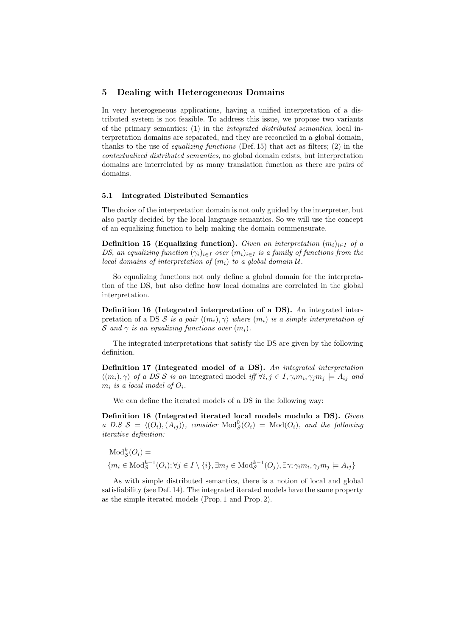# 5 Dealing with Heterogeneous Domains

In very heterogeneous applications, having a unified interpretation of a distributed system is not feasible. To address this issue, we propose two variants of the primary semantics: (1) in the integrated distributed semantics, local interpretation domains are separated, and they are reconciled in a global domain, thanks to the use of *equalizing functions* (Def. 15) that act as filters; (2) in the contextualized distributed semantics, no global domain exists, but interpretation domains are interrelated by as many translation function as there are pairs of domains.

#### 5.1 Integrated Distributed Semantics

The choice of the interpretation domain is not only guided by the interpreter, but also partly decided by the local language semantics. So we will use the concept of an equalizing function to help making the domain commensurate.

**Definition 15 (Equalizing function).** Given an interpretation  $(m_i)_{i \in I}$  of a DS, an equalizing function  $(\gamma_i)_{i\in I}$  over  $(m_i)_{i\in I}$  is a family of functions from the local domains of interpretation of  $(m_i)$  to a global domain  $\mathcal{U}$ .

So equalizing functions not only define a global domain for the interpretation of the DS, but also define how local domains are correlated in the global interpretation.

Definition 16 (Integrated interpretation of a DS). An integrated interpretation of a DS S is a pair  $\langle (m_i), \gamma \rangle$  where  $(m_i)$  is a simple interpretation of S and  $\gamma$  is an equalizing functions over  $(m_i)$ .

The integrated interpretations that satisfy the DS are given by the following definition.

Definition 17 (Integrated model of a DS). An integrated interpretation  $\langle (m_i), \gamma \rangle$  of a DS S is an integrated model iff  $\forall i, j \in I, \gamma_i m_i, \gamma_j m_j \models A_{ij}$  and  $m_i$  is a local model of  $O_i$ .

We can define the iterated models of a DS in the following way:

Definition 18 (Integrated iterated local models modulo a DS). Given a D.S  $S = \langle (O_i), (A_{ij}) \rangle$ , consider  $Mod_S^0(O_i) = Mod(O_i)$ , and the following iterative definition:

$$
Mod_{\mathcal{S}}^{k}(O_{i}) =
$$
  

$$
\{m_{i} \in Mod_{\mathcal{S}}^{k-1}(O_{i}); \forall j \in I \setminus \{i\}, \exists m_{j} \in Mod_{\mathcal{S}}^{k-1}(O_{j}), \exists \gamma; \gamma_{i}m_{i}, \gamma_{j}m_{j} \models A_{ij}\}
$$

As with simple distributed semantics, there is a notion of local and global satisfiability (see Def. 14). The integrated iterated models have the same property as the simple iterated models (Prop. 1 and Prop. 2).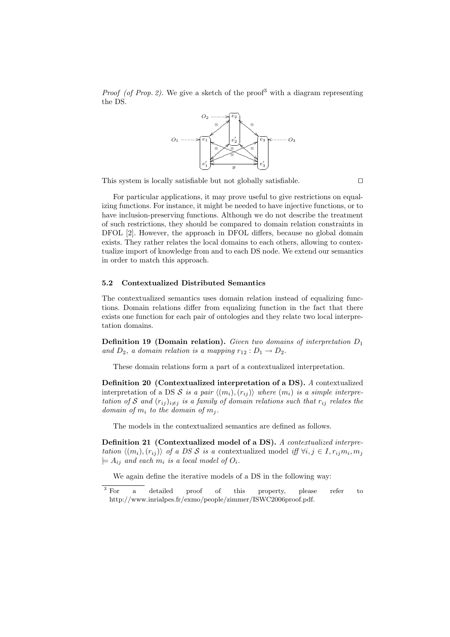*Proof (of Prop. 2).* We give a sketch of the proof<sup>3</sup> with a diagram representing the DS.



This system is locally satisfiable but not globally satisfiable.  $\Box$ 

For particular applications, it may prove useful to give restrictions on equalizing functions. For instance, it might be needed to have injective functions, or to have inclusion-preserving functions. Although we do not describe the treatment of such restrictions, they should be compared to domain relation constraints in DFOL [2]. However, the approach in DFOL differs, because no global domain exists. They rather relates the local domains to each others, allowing to contextualize import of knowledge from and to each DS node. We extend our semantics in order to match this approach.

#### 5.2 Contextualized Distributed Semantics

The contextualized semantics uses domain relation instead of equalizing functions. Domain relations differ from equalizing function in the fact that there exists one function for each pair of ontologies and they relate two local interpretation domains.

**Definition 19 (Domain relation).** Given two domains of interpretation  $D_1$ and  $D_2$ , a domain relation is a mapping  $r_{12}: D_1 \rightarrow D_2$ .

These domain relations form a part of a contextualized interpretation.

Definition 20 (Contextualized interpretation of a DS). A contextualized interpretation of a DS S is a pair  $\langle (m_i), (r_{ij}) \rangle$  where  $(m_i)$  is a simple interpretation of S and  $(r_{ij})_{i\neq j}$  is a family of domain relations such that  $r_{ij}$  relates the domain of  $m_i$  to the domain of  $m_j$ .

The models in the contextualized semantics are defined as follows.

Definition 21 (Contextualized model of a DS). A contextualized interpretation  $\langle (m_i), (r_{ij}) \rangle$  of a DS S is a contextualized model iff  $\forall i, j \in I, r_{ij}m_i, m_j$  $\models A_{ij}$  and each  $m_i$  is a local model of  $O_i$ .

We again define the iterative models of a DS in the following way:

<sup>&</sup>lt;sup>3</sup> For a detailed proof of this property, please refer to http://www.inrialpes.fr/exmo/people/zimmer/ISWC2006proof.pdf.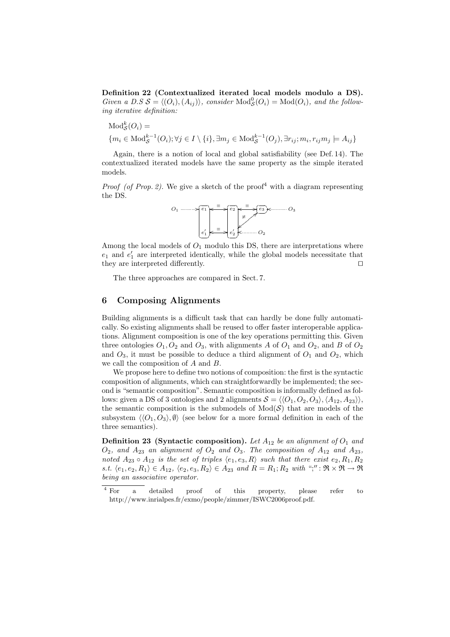Definition 22 (Contextualized iterated local models modulo a DS). Given a D.S  $S = \langle (O_i), (A_{ij}) \rangle$ , consider  $\text{Mod}_{S}^0(O_i) = \text{Mod}(O_i)$ , and the following iterative definition:

$$
Mod_S^k(O_i) = \{m_i \in Mod_S^{k-1}(O_i); \forall j \in I \setminus \{i\}, \exists m_j \in Mod_S^{k-1}(O_j), \exists r_{ij}; m_i, r_{ij}m_j \models A_{ij}\}
$$

Again, there is a notion of local and global satisfiability (see Def. 14). The contextualized iterated models have the same property as the simple iterated models.

*Proof (of Prop. 2).* We give a sketch of the proof<sup>4</sup> with a diagram representing the DS.



Among the local models of  $O_1$  modulo this DS, there are interpretations where  $e_1$  and  $e'_1$  are interpreted identically, while the global models necessitate that they are interpreted differently.  $\Box$ 

The three approaches are compared in Sect. 7.

### 6 Composing Alignments

Building alignments is a difficult task that can hardly be done fully automatically. So existing alignments shall be reused to offer faster interoperable applications. Alignment composition is one of the key operations permitting this. Given three ontologies  $O_1$ ,  $O_2$  and  $O_3$ , with alignments A of  $O_1$  and  $O_2$ , and B of  $O_2$ and  $O_3$ , it must be possible to deduce a third alignment of  $O_1$  and  $O_2$ , which we call the composition of A and B.

We propose here to define two notions of composition: the first is the syntactic composition of alignments, which can straightforwardly be implemented; the second is "semantic composition". Semantic composition is informally defined as follows: given a DS of 3 ontologies and 2 alignments  $S = \langle \langle O_1, O_2, O_3 \rangle, \langle A_{12}, A_{23} \rangle \rangle$ , the semantic composition is the submodels of  $Mod(S)$  that are models of the subsystem  $\langle\langle O_1, O_3\rangle, \emptyset\rangle$  (see below for a more formal definition in each of the three semantics).

**Definition 23** (Syntactic composition). Let  $A_{12}$  be an alignment of  $O_1$  and  $O_2$ , and  $A_{23}$  an alignment of  $O_2$  and  $O_3$ . The composition of  $A_{12}$  and  $A_{23}$ , noted  $A_{23} \circ A_{12}$  is the set of triples  $\langle e_1, e_3, R \rangle$  such that there exist  $e_2, R_1, R_2$ s.t.  $\langle e_1, e_2, R_1 \rangle \in A_{12}$ ,  $\langle e_2, e_3, R_2 \rangle \in A_{23}$  and  $R = R_1; R_2$  with ";" :  $\Re \times \Re \to \Re$ being an associative operator.

<sup>&</sup>lt;sup>4</sup> For a detailed proof of this property, please refer to http://www.inrialpes.fr/exmo/people/zimmer/ISWC2006proof.pdf.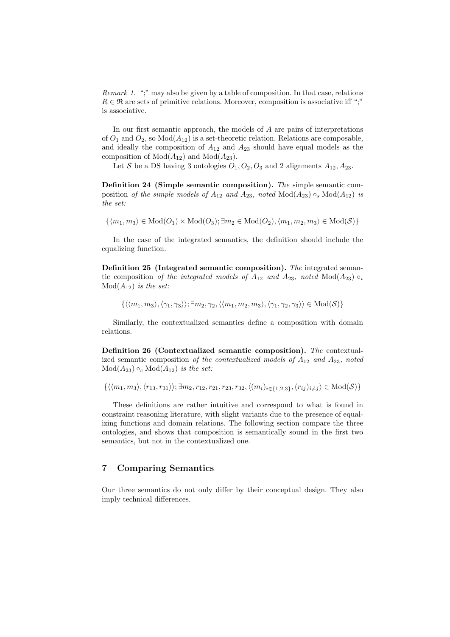Remark 1. ";" may also be given by a table of composition. In that case, relations  $R \in \mathfrak{R}$  are sets of primitive relations. Moreover, composition is associative iff ";" is associative.

In our first semantic approach, the models of A are pairs of interpretations of  $O_1$  and  $O_2$ , so  $Mod(A_{12})$  is a set-theoretic relation. Relations are composable, and ideally the composition of  $A_{12}$  and  $A_{23}$  should have equal models as the composition of  $Mod(A_{12})$  and  $Mod(A_{23})$ .

Let S be a DS having 3 ontologies  $O_1, O_2, O_3$  and 2 alignments  $A_{12}, A_{23}$ .

Definition 24 (Simple semantic composition). The simple semantic composition of the simple models of  $A_{12}$  and  $A_{23}$ , noted  $Mod(A_{23}) \circ_s Mod(A_{12})$  is the set:

 $\{(m_1, m_3) \in Mod(O_1) \times Mod(O_3); \exists m_2 \in Mod(O_2), \langle m_1, m_2, m_3 \rangle \in Mod(S)\}\$ 

In the case of the integrated semantics, the definition should include the equalizing function.

Definition 25 (Integrated semantic composition). The integrated semantic composition of the integrated models of  $A_{12}$  and  $A_{23}$ , noted Mod( $A_{23}$ )  $\circ_i$  $Mod(A_{12})$  is the set:

$$
\{\langle\langle m_1,m_3\rangle,\langle\gamma_1,\gamma_3\rangle\rangle;\exists m_2,\gamma_2,\langle\langle m_1,m_2,m_3\rangle,\langle\gamma_1,\gamma_2,\gamma_3\rangle\rangle\in\mathrm{Mod}(\mathcal{S})\}
$$

Similarly, the contextualized semantics define a composition with domain relations.

Definition 26 (Contextualized semantic composition). The contextualized semantic composition of the contextualized models of  $A_{12}$  and  $A_{23}$ , noted  $Mod(A_{23}) \circ_c Mod(A_{12})$  is the set:

$$
\{\langle\langle m_1,m_3\rangle,\langle r_{13},r_{31}\rangle\rangle;\exists m_2,r_{12},r_{21},r_{23},r_{32},\langle (m_i)_{i\in\{1,2,3\}},(r_{ij})_{i\neq j}\rangle\in\mathrm{Mod}(\mathcal{S})\}
$$

These definitions are rather intuitive and correspond to what is found in constraint reasoning literature, with slight variants due to the presence of equalizing functions and domain relations. The following section compare the three ontologies, and shows that composition is semantically sound in the first two semantics, but not in the contextualized one.

# 7 Comparing Semantics

Our three semantics do not only differ by their conceptual design. They also imply technical differences.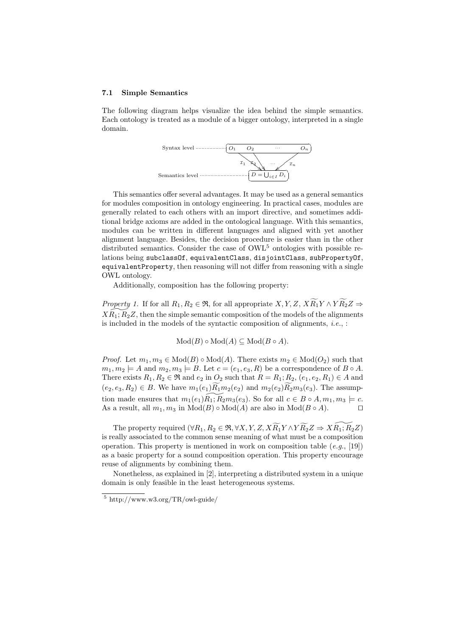#### 7.1 Simple Semantics

The following diagram helps visualize the idea behind the simple semantics. Each ontology is treated as a module of a bigger ontology, interpreted in a single domain.



This semantics offer several advantages. It may be used as a general semantics for modules composition in ontology engineering. In practical cases, modules are generally related to each others with an import directive, and sometimes additional bridge axioms are added in the ontological language. With this semantics, modules can be written in different languages and aligned with yet another alignment language. Besides, the decision procedure is easier than in the other distributed semantics. Consider the case of  $\rm OWL^5$  ontologies with possible relations being subclassOf, equivalentClass, disjointClass, subPropertyOf, equivalentProperty, then reasoning will not differ from reasoning with a single OWL ontology.

Additionally, composition has the following property:

*Property 1.* If for all  $R_1, R_2 \in \mathfrak{R}$ , for all appropriate  $X, Y, Z, X \widetilde{R_1} Y \wedge Y \widetilde{R_2} Z \Rightarrow$  $X\widetilde{R}_1;\widetilde{R}_2Z$ , then the simple semantic composition of the models of the alignments is included in the models of the syntactic composition of alignments,  $i.e.,$ :

 $Mod(B) \circ Mod(A) \subseteq Mod(B \circ A).$ 

*Proof.* Let  $m_1, m_3 \in Mod(B) \circ Mod(A)$ . There exists  $m_2 \in Mod(O_2)$  such that  $m_1, m_2 \models A$  and  $m_2, m_3 \models B$ . Let  $c = (e_1, e_3, R)$  be a correspondence of  $B \circ A$ . There exists  $R_1, R_2 \in \mathfrak{R}$  and  $e_2$  in  $O_2$  such that  $R = R_1; R_2, (e_1, e_2, R_1) \in A$  and  $(e_2, e_3, R_2) \in B$ . We have  $m_1(e_1) \widetilde{R_1} m_2(e_2)$  and  $m_2(e_2) \widetilde{R_2} m_3(e_3)$ . The assumption made ensures that  $m_1(e_1)\overline{R_1}; \overline{R_2m_3}(e_3)$ . So for all  $c \in B \circ A, m_1, m_3 \models c$ . As a result, all  $m_1, m_3$  in  $Mod(B) \circ Mod(A)$  are also in  $Mod(B \circ A)$ .

The property required  $(\forall R_1, R_2 \in \mathfrak{R}, \forall X, Y, Z, X \widetilde{R_1} Y \wedge Y \widetilde{R_2} Z \Rightarrow X \widetilde{R_1}; \widetilde{R_2}Z)$ is really associated to the common sense meaning of what must be a composition operation. This property is mentioned in work on composition table  $(e.g., [19])$ as a basic property for a sound composition operation. This property encourage reuse of alignments by combining them.

Nonetheless, as explained in [2], interpreting a distributed system in a unique domain is only feasible in the least heterogeneous systems.

 $5 \text{ http://www.w3.org/TR/owl-guide/}$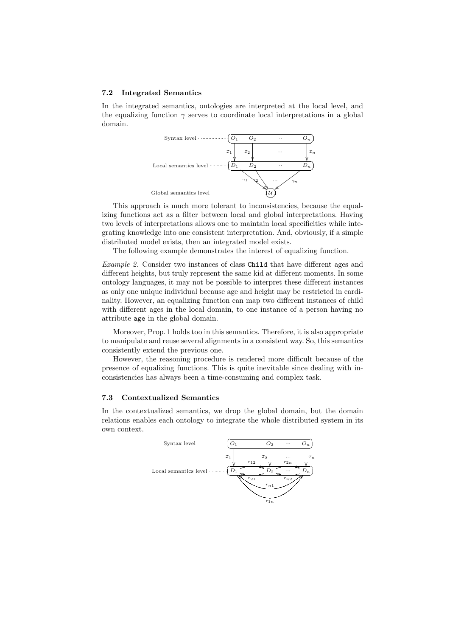#### 7.2 Integrated Semantics

In the integrated semantics, ontologies are interpreted at the local level, and the equalizing function  $\gamma$  serves to coordinate local interpretations in a global domain.



This approach is much more tolerant to inconsistencies, because the equalizing functions act as a filter between local and global interpretations. Having two levels of interpretations allows one to maintain local specificities while integrating knowledge into one consistent interpretation. And, obviously, if a simple distributed model exists, then an integrated model exists.

The following example demonstrates the interest of equalizing function.

Example 2. Consider two instances of class Child that have different ages and different heights, but truly represent the same kid at different moments. In some ontology languages, it may not be possible to interpret these different instances as only one unique individual because age and height may be restricted in cardinality. However, an equalizing function can map two different instances of child with different ages in the local domain, to one instance of a person having no attribute age in the global domain.

Moreover, Prop. 1 holds too in this semantics. Therefore, it is also appropriate to manipulate and reuse several alignments in a consistent way. So, this semantics consistently extend the previous one.

However, the reasoning procedure is rendered more difficult because of the presence of equalizing functions. This is quite inevitable since dealing with inconsistencies has always been a time-consuming and complex task.

#### 7.3 Contextualized Semantics

In the contextualized semantics, we drop the global domain, but the domain relations enables each ontology to integrate the whole distributed system in its own context.

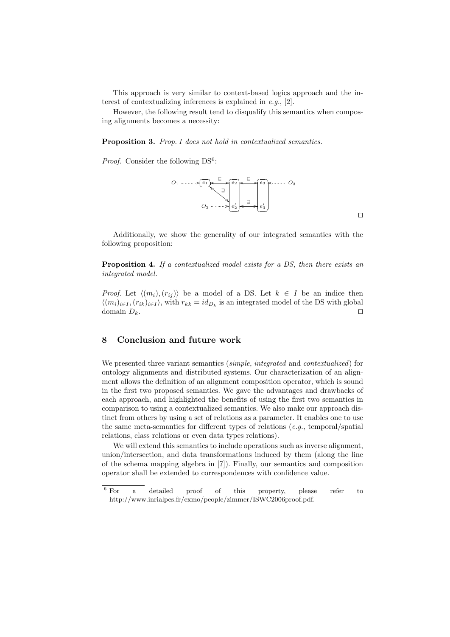This approach is very similar to context-based logics approach and the interest of contextualizing inferences is explained in e.g., [2].

However, the following result tend to disqualify this semantics when composing alignments becomes a necessity:

Proposition 3. Prop. 1 does not hold in contextualized semantics.

Proof. Consider the following DS<sup>6</sup>:



Additionally, we show the generality of our integrated semantics with the following proposition:

Proposition 4. If a contextualized model exists for a DS, then there exists an integrated model.

*Proof.* Let  $\langle (m_i), (r_{ij}) \rangle$  be a model of a DS. Let  $k \in I$  be an indice then  $\langle (m_i)_{i\in I}, (r_{ik})_{i\in I} \rangle$ , with  $r_{kk} = id_{D_k}$  is an integrated model of the DS with global domain  $D_k$ .

# 8 Conclusion and future work

We presented three variant semantics (simple, integrated and contextualized) for ontology alignments and distributed systems. Our characterization of an alignment allows the definition of an alignment composition operator, which is sound in the first two proposed semantics. We gave the advantages and drawbacks of each approach, and highlighted the benefits of using the first two semantics in comparison to using a contextualized semantics. We also make our approach distinct from others by using a set of relations as a parameter. It enables one to use the same meta-semantics for different types of relations (e.g., temporal/spatial) relations, class relations or even data types relations).

We will extend this semantics to include operations such as inverse alignment, union/intersection, and data transformations induced by them (along the line of the schema mapping algebra in [7]). Finally, our semantics and composition operator shall be extended to correspondences with confidence value.

 $\Box$ 

<sup>6</sup> For a detailed proof of this property, please refer to http://www.inrialpes.fr/exmo/people/zimmer/ISWC2006proof.pdf.